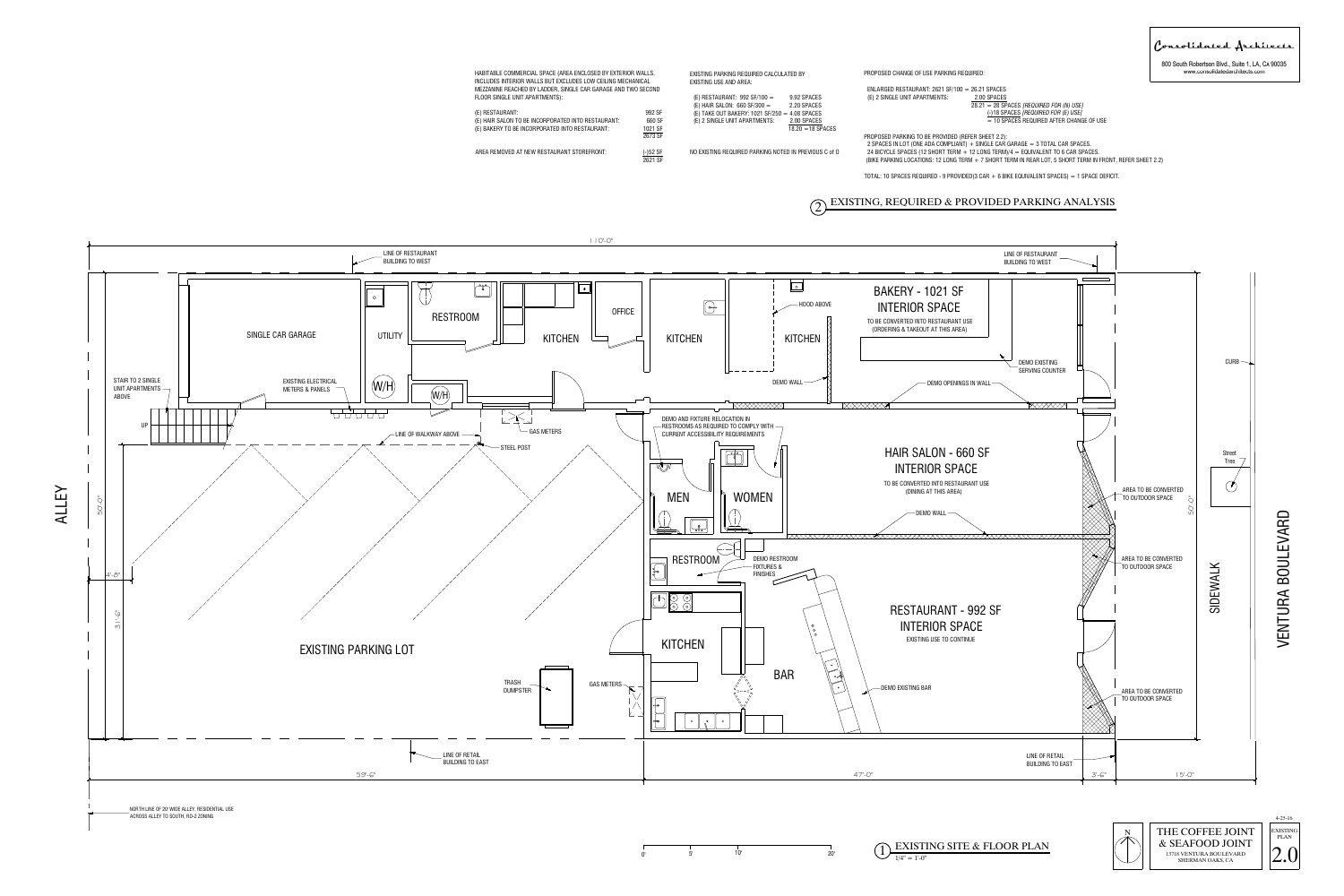VENTURA BOULEVARD







.<br>HABITABLE COMMERCIAL SPACE (AREA ENCLOSED BY EXTERIOR WALLS,<br>INCLUDES INTERIOR WALLS BUT EXCLUDES LOW CEILING MECHANICAL

INCLUDES INTERIOR WALLS BUT EXCLUDES LOW CEILING MECHANICAL<br>MEZZANINE REACHED BY LADDER, SINGLE CAR GARAGE AND TWO SECOND

MEZZANINE REACHED BY LADDER, {<br>FLOOR SINGLE UNIT APARTMENTS):

ALLEY



Consolidated Architects

800 South Robertson Blvd., Suite 1, LA, CA 90035 www.consolidatedarchitects.com

PROPOSED CHANGE OF USE PARKING REQUIRED: ENLARGED RESTAURANT: 2621 SF/100 = 26.21 SPACES (E) 2 SINGLE UNIT APARTMENTS:  $\frac{2.00 \text{ SPACES}}{28.21 = 28 \text{ SPACES}}$  *[REQUIRED FOR (N) USE]* SPACES<br><u>SPACES</u><br>= 28 SPACES *[REQUIRED FOR (N) USE<sub>]</sub><br>(-)18 SPACES <i>[REQUIRED FOR (E) USE]*  $\frac{3.00 \text{ of } \triangle$ <br> $\frac{3.21}{2} = 28 \text{ SPACES}$  [Required for (N) use]<br> $\frac{(-)18 \text{ SPACES}$  [Required For (E) use]<br>= 10 SPACES REQUIRED AFTER CHANGE OF USE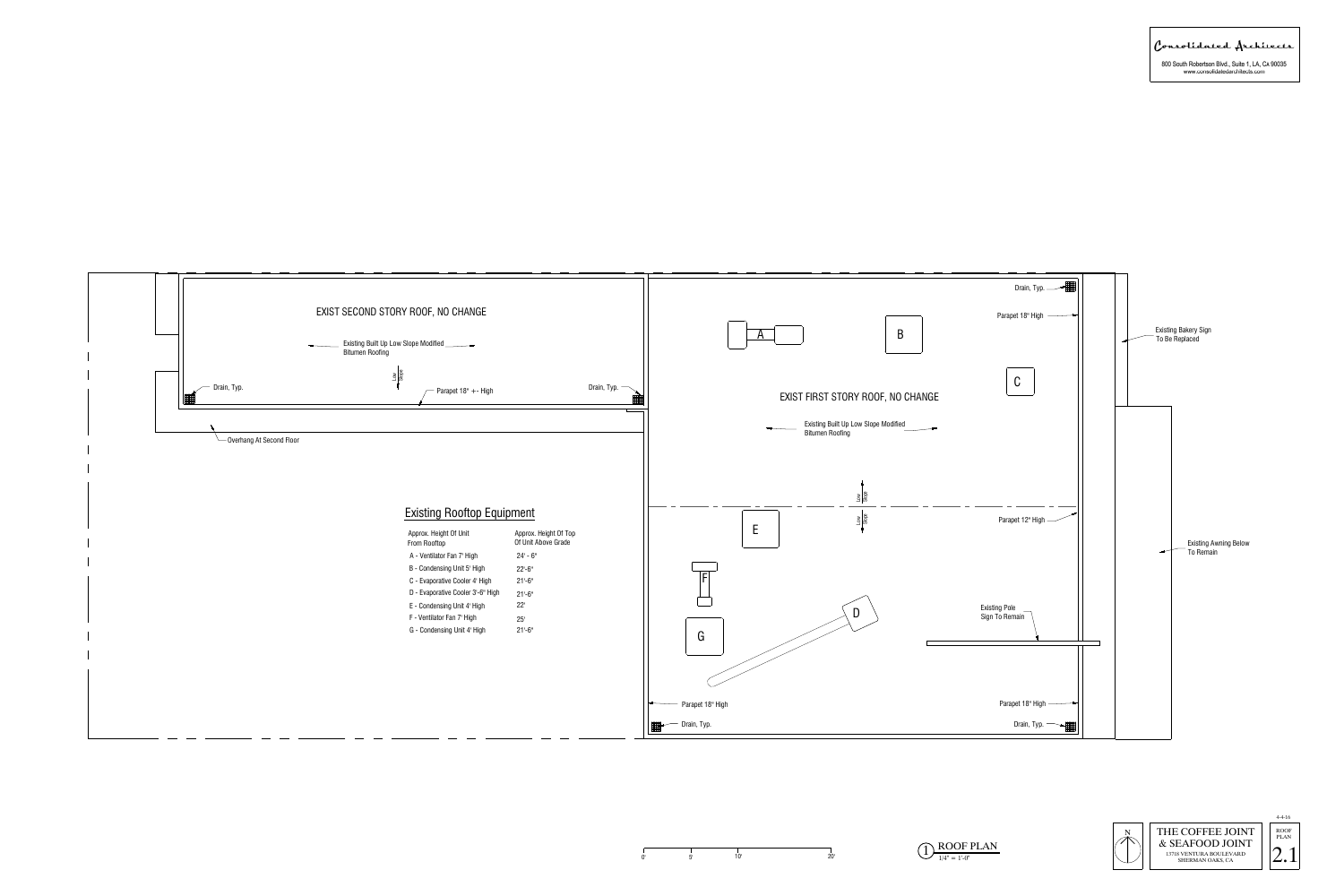

Consolidated Architects

800 South Robertson Blvd., Suite 1, LA, CA 90035<br>www.consolidatedarchitects.com



 $\overline{O_{\frac{1}{14}}$   $\overline{O_{\frac{1}{14}}$   $\overline{O_{\frac{1}{14}}$   $\overline{O_{\frac{1}{14}}$   $\overline{O_{\frac{1}{14}}}}$   $\overline{O_{\frac{1}{14}}$   $\overline{O_{\frac{1}{14}}$   $\overline{O_{\frac{1}{14}}}}$   $\overline{O_{\frac{1}{14}}$   $\overline{O_{\frac{1}{14}}$   $\overline{O_{\frac{1}{14}}}}$   $\overline{O_{\frac{1}{14}}$   $\overline{O_{\frac{1}{14$ 

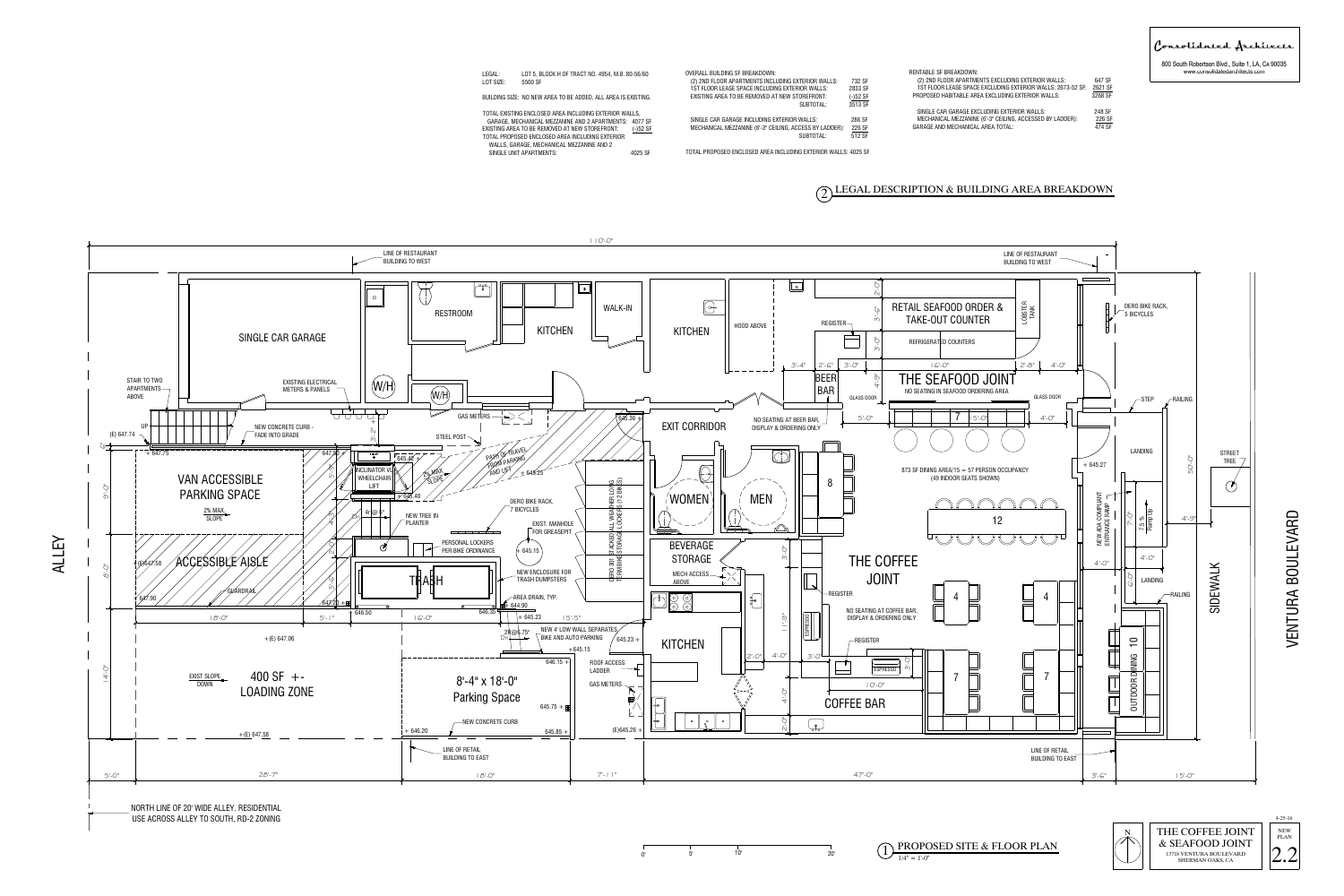VENTURA BOULEVARD



| LEGAL:                                                        | LOT 5, BLOCK H OF TRACT NO. 4954, M.B. 80-56/60                      |                                                | <b>OVERALL BUILDING SF BREAKDOWN:</b>                          |               | RENTABLI    |
|---------------------------------------------------------------|----------------------------------------------------------------------|------------------------------------------------|----------------------------------------------------------------|---------------|-------------|
| LOT SIZE:                                                     | 5500 SF                                                              |                                                | (2) 2ND FLOOR APARTMENTS INCLUDING EXTERIOR WALLS:             | 732 SF        | (2) 2N      |
|                                                               |                                                                      |                                                | 1ST FLOOR LEASE SPACE INCLUDING EXTERIOR WALLS:                | 2833 SF       | 1ST FL      |
| BUILDING SIZE: NO NEW AREA TO BE ADDED, ALL AREA IS EXISTING. |                                                                      | EXISTING AREA TO BE REMOVED AT NEW STOREFRONT: | $(-)52$ SF                                                     | <b>PROPOS</b> |             |
|                                                               |                                                                      |                                                | SUBTOTAL:                                                      | 3513 SF       |             |
| TOTAL EXISTING ENCLOSED AREA INCLUDING EXTERIOR WALLS,        |                                                                      |                                                |                                                                |               | SINGLI      |
|                                                               | GARAGE, MECHANICAL MEZZANINE AND 2 APARTMENTS: 4077 SF               |                                                | SINGLE CAR GARAGE INCLUDING EXTERIOR WALLS:                    | 286 SF        | <b>MECH</b> |
|                                                               | EXISTING AREA TO BE REMOVED AT NEW STOREFRONT:                       | $(-)52$ SF                                     | MECHANICAL MEZZANINE (6'-3" CEILING, ACCESS BY LADDER):        | 226 SF        | GARAGE      |
|                                                               | TOTAL PROPOSED ENCLOSED AREA INCLUDING EXTERIOR                      |                                                | SUBTOTAL:                                                      | 512 SF        |             |
|                                                               | WALLS, GARAGE, MECHANICAL MEZZANINE AND 2<br>SINGLE UNIT APARTMENTS: | 4025 SF                                        | TOTAL PROPOSED ENCLOSED AREA INCLUDING EXTERIOR WALLS: 4025 SF |               |             |
|                                                               |                                                                      |                                                |                                                                |               |             |





800 South Robertson Blvd., Suite 1, LA, CA 90035 www.consolidatedarchitects.com

Consolidated Architects



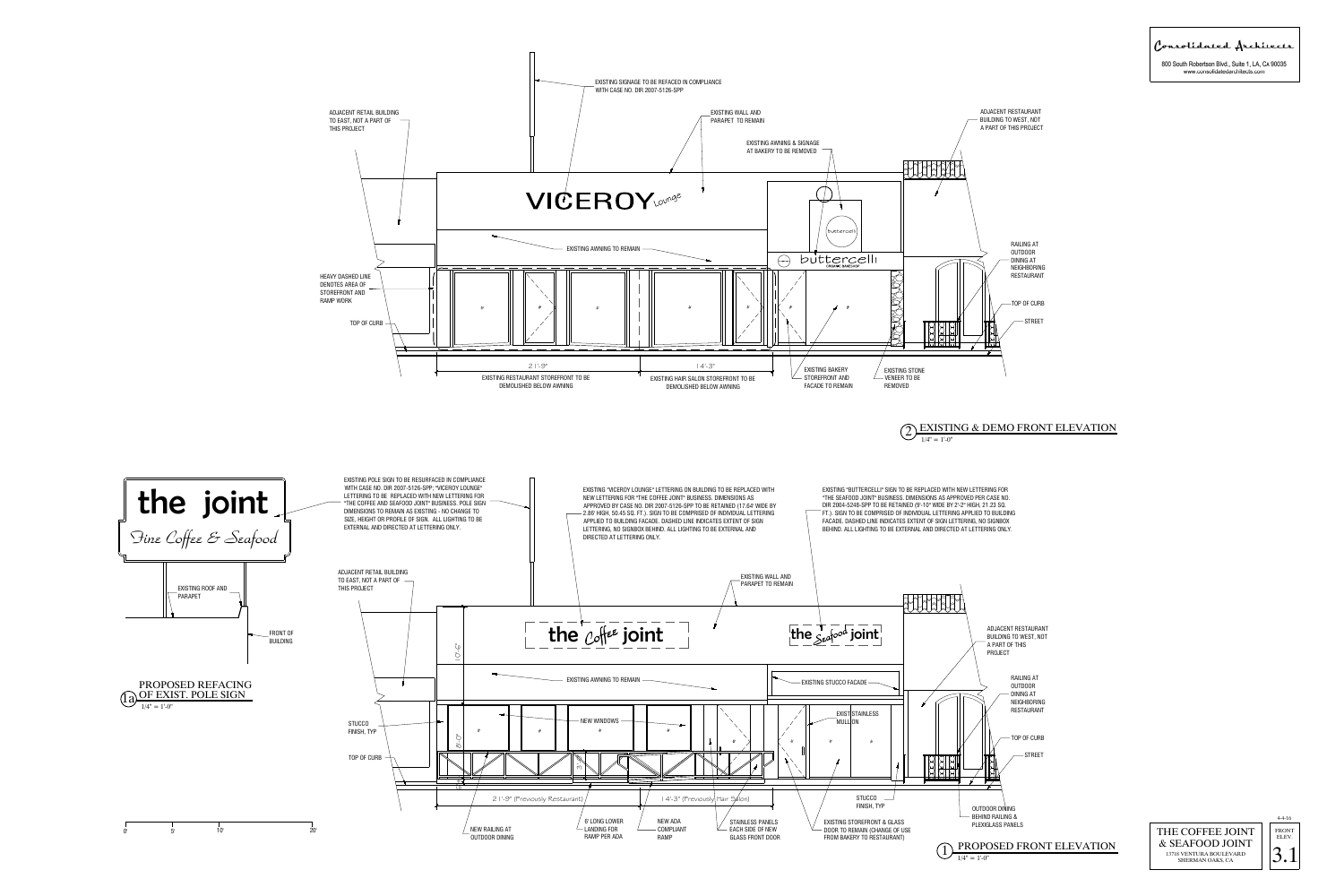









Consolidated Architects

800 South Robertson Blvd., Suite 1, LA, CA 90035 www.consolidatedarchitects.com